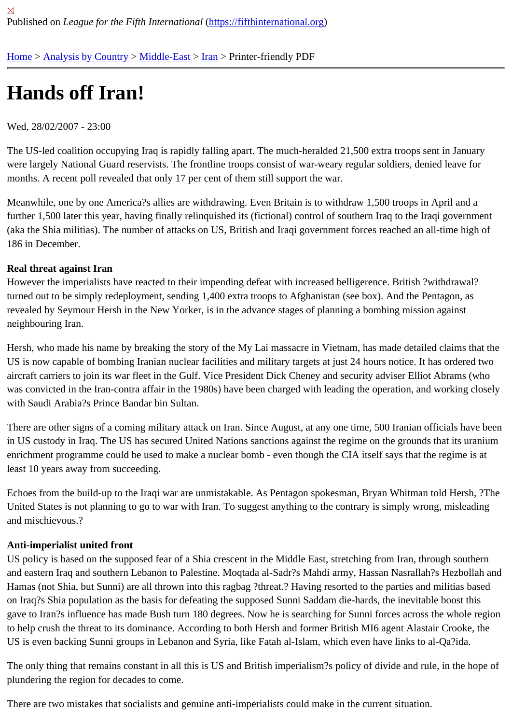# [Ha](https://fifthinternational.org/)[nds off Iran](https://fifthinternational.org/category/1)[!](https://fifthinternational.org/category/1/178)

### Wed, 28/02/2007 - 23:00

The US-led coalition occupying Iraq is rapidly falling apart. The much-heralded 21,500 extra troops sent in January were largely National Guard reservists. The frontline troops consist of war-weary regular soldiers, denied leave for months. A recent poll revealed that only 17 per cent of them still support the war.

Meanwhile, one by one America?s allies are withdrawing. Even Britain is to withdraw 1,500 troops in April and a further 1,500 later this year, having finally relinquished its (fictional) control of southern Iraq to the Iraqi governmen (aka the Shia militias). The number of attacks on US, British and Iraqi government forces reached an all-time high 186 in December.

#### Real threat against Iran

However the imperialists have reacted to their impending defeat with increased belligerence. British ?withdrawal? turned out to be simply redeployment, sending 1,400 extra troops to Afghanistan (see box). And the Pentagon, as revealed by Seymour Hersh in the New Yorker, is in the advance stages of planning a bombing mission against neighbouring Iran.

Hersh, who made his name by breaking the story of the My Lai massacre in Vietnam, has made detailed claims th US is now capable of bombing Iranian nuclear facilities and military targets at just 24 hours notice. It has ordered t aircraft carriers to join its war fleet in the Gulf. Vice President Dick Cheney and security adviser Elliot Abrams (who was convicted in the Iran-contra affair in the 1980s) have been charged with leading the operation, and working clo with Saudi Arabia?s Prince Bandar bin Sultan.

There are other signs of a coming military attack on Iran. Since August, at any one time, 500 Iranian officials have in US custody in Iraq. The US has secured United Nations sanctions against the regime on the grounds that its ura enrichment programme could be used to make a nuclear bomb - even though the CIA itself says that the regime is least 10 years away from succeeding.

Echoes from the build-up to the Iraqi war are unmistakable. As Pentagon spokesman, Bryan Whitman told Hersh, United States is not planning to go to war with Iran. To suggest anything to the contrary is simply wrong, misleading and mischievous.?

## Anti-imperialist united front

US policy is based on the supposed fear of a Shia crescent in the Middle East, stretching from Iran, through south and eastern Iraq and southern Lebanon to Palestine. Mogtada al-Sadr?s Mahdi army, Hassan Nasrallah?s Hezbo Hamas (not Shia, but Sunni) are all thrown into this ragbag ?threat.? Having resorted to the parties and militias ba on Iraq?s Shia population as the basis for defeating the supposed Sunni Saddam die-hards, the inevitable boost tl gave to Iran?s influence has made Bush turn 180 degrees. Now he is searching for Sunni forces across the whole to help crush the threat to its dominance. According to both Hersh and former British MI6 agent Alastair Crooke, th US is even backing Sunni groups in Lebanon and Syria, like Fatah al-Islam, which even have links to al-Qa?ida.

The only thing that remains constant in all this is US and British imperialism?s policy of divide and rule, in the hope plundering the region for decades to come.

There are two mistakes that socialists and genuine anti-imperialists could make in the current situation.